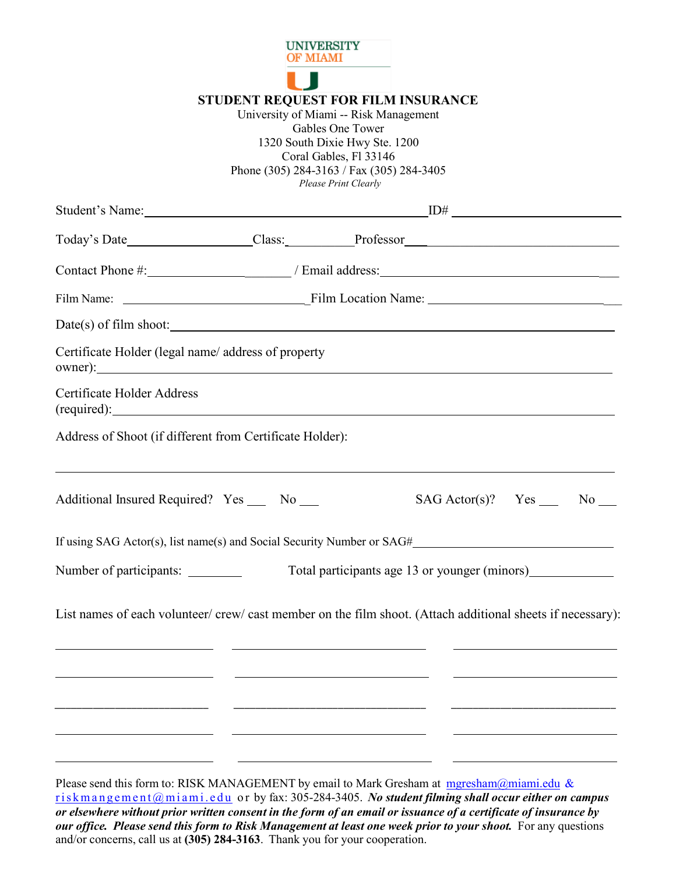

## **STUDENT REQUEST FOR FILM INSURANCE**

University of Miami -- Risk Management Gables One Tower 1320 South Dixie Hwy Ste. 1200 Coral Gables, Fl 33146 Phone (305) 284-3163 / Fax (305) 284-3405 *Please Print Clearly*

| Today's Date__________________Class:___________Professor_________________________                                                                                                                  |                                                                                                                                                                                                                                                                                                                                                              |  |                                |  |  |
|----------------------------------------------------------------------------------------------------------------------------------------------------------------------------------------------------|--------------------------------------------------------------------------------------------------------------------------------------------------------------------------------------------------------------------------------------------------------------------------------------------------------------------------------------------------------------|--|--------------------------------|--|--|
|                                                                                                                                                                                                    |                                                                                                                                                                                                                                                                                                                                                              |  |                                |  |  |
|                                                                                                                                                                                                    |                                                                                                                                                                                                                                                                                                                                                              |  |                                |  |  |
| Date(s) of film shoot:                                                                                                                                                                             |                                                                                                                                                                                                                                                                                                                                                              |  |                                |  |  |
| Certificate Holder (legal name/ address of property<br>owner):                                                                                                                                     |                                                                                                                                                                                                                                                                                                                                                              |  |                                |  |  |
| Certificate Holder Address<br>$(\text{required})$ :                                                                                                                                                |                                                                                                                                                                                                                                                                                                                                                              |  |                                |  |  |
| Address of Shoot (if different from Certificate Holder):                                                                                                                                           |                                                                                                                                                                                                                                                                                                                                                              |  |                                |  |  |
| Additional Insured Required? Yes __ No __                                                                                                                                                          |                                                                                                                                                                                                                                                                                                                                                              |  | $SAG Actor(s)?$ $Yes \_ No \_$ |  |  |
| If using SAG Actor(s), list name(s) and Social Security Number or SAG#                                                                                                                             |                                                                                                                                                                                                                                                                                                                                                              |  |                                |  |  |
| Number of participants: __________                                                                                                                                                                 |                                                                                                                                                                                                                                                                                                                                                              |  |                                |  |  |
| List names of each volunteer/ crew/ cast member on the film shoot. (Attach additional sheets if necessary):                                                                                        | <u> 1989 - Andrea State Barbara, amerikan personal dan personal dan personal dan personal dan personal dan personal dan personal dan personal dan personal dan personal dan personal dan personal dan personal dan personal dan </u><br><u> 1990 - Johann John Stone, markin film ar yn y brenin y brenin y brenin y brenin y brenin y brenin y brenin y</u> |  |                                |  |  |
| Please send this form to: RISK MANAGEMENT by email to Mark Gresham at $mgresham@minmid$ .edu &<br>riskmangement@miami.edu or by fax: 305-284-3405. No student filming shall occur either on campus |                                                                                                                                                                                                                                                                                                                                                              |  |                                |  |  |

[riskmangement@miami.edu](mailto:riskmangement@miami.edu) o r by fax: 305-284-3405. *No student filming shall occur either on campus* or elsewhere without prior written consent in the form of an email or issuance of a certificate of insurance by *our office. Please send this form to Risk Management at least one week prior to your shoot.* For any questions and/or concerns, call us at **(305) 284-3163**. Thank you for your cooperation.